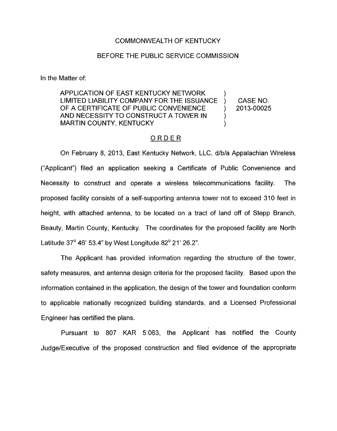## COMMONWEALTH OF KENTUCKY

## BEFORE THE PUBLIC SERVICE COMMISSION

In the Matter of:

APPLICATION OF EAST KENTUCKY NETWORK LIMITED LIABILITY COMPANY FOR THE ISSUANCE ) CASE NO. OF A CERTIFICATE OF PUBLIC CONVENIENCE ) 2013-00025 AND NECESSITY TO CONSTRUCT A TOWER IN MARTIN COUNTY, KENTUCKY (1999)

## ORDER

On February 8, 2013, East Kentucky Network, LLC, d/b/a Appalachian Wireless ("Applicant") filed an application seeking a Certificate of Public Convenience and Necessity to construct and operate a wireless telecommunications facility. The proposed facility consists of a self-supporting antenna tower not to exceed 310 feet in height, with attached antenna, to be located on a tract of land off of Stepp Branch, Beauty, Martin County, Kentucky. The coordinates for the proposed facility are North Latitude  $37^{\circ}$  46' 53.4" by West Longitude  $82^{\circ}$  21' 26.2".

The Applicant has provided information regarding the structure of the tower, safety measures, and antenna design criteria for the proposed facility. Based upon the information contained in the application, the design of the tower and foundation conform to applicable nationally recognized building standards, and a Licensed Professional Engineer has certified the plans.

Pursuant to 807 KAR 5:063, the Applicant has notified the County Judge/Executive of the proposed construction and filed evidence of the appropriate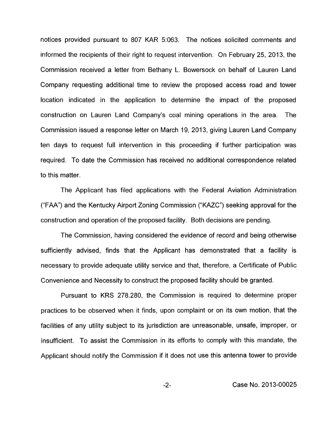notices provided pursuant to 807 KAR 5:063. The notices solicited comments and informed the recipients of their right to request intervention. On February 25, 2013, the Commission received a letter from Bethany L. Bowersock on behalf of Lauren Land Company requesting additional time to review the proposed access road and tower location indicated in the application to determine the impact of the proposed construction on Lauren Land Company's coal mining operations in the area. The Commission issued a response letter on March 19, 2013, giving Lauren Land Company ten days to request full intervention in this proceeding if further participation was required. To date the Commission has received no additional correspondence related to this matter.

The Applicant has filed applications with the Federal Aviation Administration ("FAA") and the Kentucky Airport Zoning Commission ("KAZC") seeking approval for the construction and operation of the proposed facility. Both decisions are pending.

The Commission, having considered the evidence of record and being otherwise sufficiently advised, finds that the Applicant has demonstrated that a facility is necessary to provide adequate utility service and that, therefore, a Certificate of Public Convenience and Necessity to construct the proposed facility should be granted.

Pursuant to KRS 278.280, the Commission is required to determine proper practices to be observed when it finds, upon complaint or on its own motion, that the facilities of any utility subject to its jurisdiction are unreasonable, unsafe, improper, or insufficient. To assist the Commission in its efforts to comply with this mandate, the Applicant should notify the Commission if it does not use this antenna tower to provide

-2- Case No. 2013-00025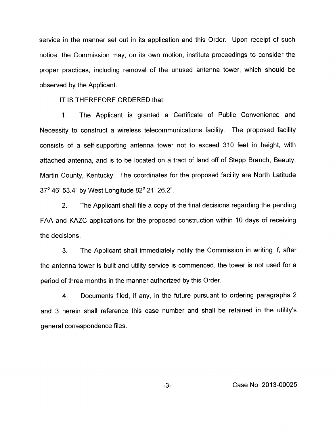service in the manner set out in its application and this Order. Upon receipt of such notice, the Commission may, on its own motion, institute proceedings to consider the proper practices, including removal of the unused antenna tower, which should be observed by the Applicant.

IT **IS** THEREFORE ORDERED that:

1. The Applicant is granted a Certificate of Public Convenience and Necessity to construct a wireless telecommunications facility. The proposed facility consists of a self-supporting antenna tower not to exceed 310 feet in height, with attached antenna, and is to be located on a tract of land off of Stepp Branch, Beauty, Martin County, Kentucky. The coordinates for the proposed facility are North Latitude 37' 46' 53.4" by West Longitude 82' 21' 26.2".

2. The Applicant shall file a copy of the final decisions regarding the pending FAA and KAZC applications for the proposed construction within 10 days of receiving the decisions.

3. The Applicant shall immediately notify the Commission in writing if, after the antenna tower is built and utility service is commenced, the tower is not used for a period of three months in the manner authorized by this Order.

4. Documents filed, if any, in the future pursuant to ordering paragraphs 2 and 3 herein shall reference this case number and shall be retained in the utility's general correspondence files.

-3- Case No. 2013-00025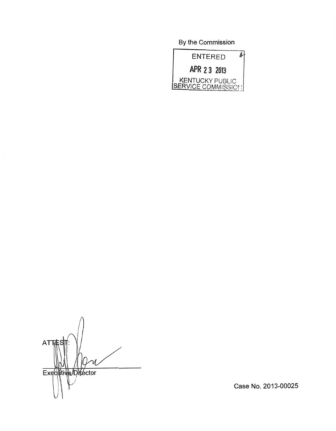By the Commission



**ATTES** Executive/Director

Case No. 2013-00025